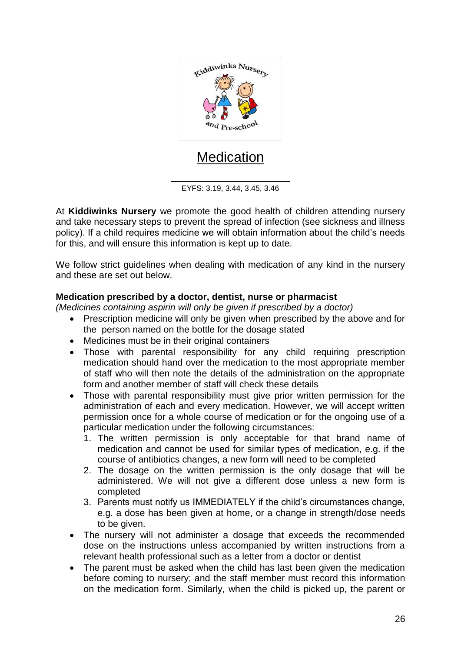

# **Medication**

EYFS: 3.19, 3.44, 3.45, 3.46

At **Kiddiwinks Nursery** we promote the good health of children attending nursery and take necessary steps to prevent the spread of infection (see sickness and illness policy). If a child requires medicine we will obtain information about the child's needs for this, and will ensure this information is kept up to date.

We follow strict guidelines when dealing with medication of any kind in the nursery and these are set out below.

# **Medication prescribed by a doctor, dentist, nurse or pharmacist**

*(Medicines containing aspirin will only be given if prescribed by a doctor)*

- Prescription medicine will only be given when prescribed by the above and for the person named on the bottle for the dosage stated
- Medicines must be in their original containers
- Those with parental responsibility for any child requiring prescription medication should hand over the medication to the most appropriate member of staff who will then note the details of the administration on the appropriate form and another member of staff will check these details
- Those with parental responsibility must give prior written permission for the administration of each and every medication. However, we will accept written permission once for a whole course of medication or for the ongoing use of a particular medication under the following circumstances:
	- 1. The written permission is only acceptable for that brand name of medication and cannot be used for similar types of medication, e.g. if the course of antibiotics changes, a new form will need to be completed
	- 2. The dosage on the written permission is the only dosage that will be administered. We will not give a different dose unless a new form is completed
	- 3. Parents must notify us IMMEDIATELY if the child's circumstances change, e.g. a dose has been given at home, or a change in strength/dose needs to be given.
- The nursery will not administer a dosage that exceeds the recommended dose on the instructions unless accompanied by written instructions from a relevant health professional such as a letter from a doctor or dentist
- The parent must be asked when the child has last been given the medication before coming to nursery; and the staff member must record this information on the medication form. Similarly, when the child is picked up, the parent or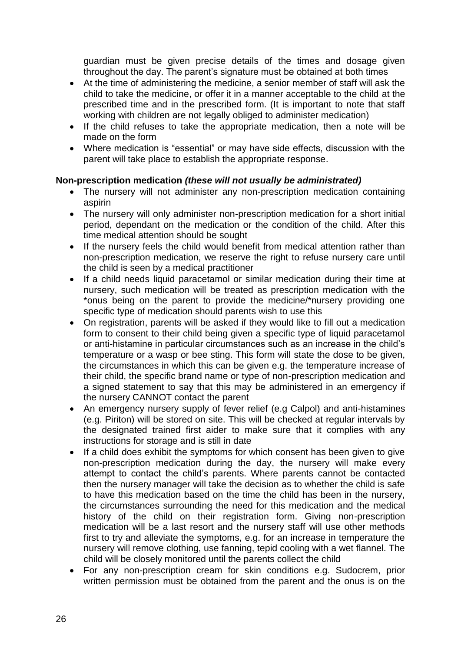guardian must be given precise details of the times and dosage given throughout the day. The parent's signature must be obtained at both times

- At the time of administering the medicine, a senior member of staff will ask the child to take the medicine, or offer it in a manner acceptable to the child at the prescribed time and in the prescribed form. (It is important to note that staff working with children are not legally obliged to administer medication)
- If the child refuses to take the appropriate medication, then a note will be made on the form
- Where medication is "essential" or may have side effects, discussion with the parent will take place to establish the appropriate response.

## **Non-prescription medication** *(these will not usually be administrated)*

- The nursery will not administer any non-prescription medication containing aspirin
- The nursery will only administer non-prescription medication for a short initial period, dependant on the medication or the condition of the child. After this time medical attention should be sought
- If the nursery feels the child would benefit from medical attention rather than non-prescription medication, we reserve the right to refuse nursery care until the child is seen by a medical practitioner
- If a child needs liquid paracetamol or similar medication during their time at nursery, such medication will be treated as prescription medication with the \*onus being on the parent to provide the medicine/\*nursery providing one specific type of medication should parents wish to use this
- On registration, parents will be asked if they would like to fill out a medication form to consent to their child being given a specific type of liquid paracetamol or anti-histamine in particular circumstances such as an increase in the child's temperature or a wasp or bee sting. This form will state the dose to be given, the circumstances in which this can be given e.g. the temperature increase of their child, the specific brand name or type of non-prescription medication and a signed statement to say that this may be administered in an emergency if the nursery CANNOT contact the parent
- An emergency nursery supply of fever relief (e.g Calpol) and anti-histamines (e.g. Piriton) will be stored on site. This will be checked at regular intervals by the designated trained first aider to make sure that it complies with any instructions for storage and is still in date
- If a child does exhibit the symptoms for which consent has been given to give non-prescription medication during the day, the nursery will make every attempt to contact the child's parents. Where parents cannot be contacted then the nursery manager will take the decision as to whether the child is safe to have this medication based on the time the child has been in the nursery, the circumstances surrounding the need for this medication and the medical history of the child on their registration form. Giving non-prescription medication will be a last resort and the nursery staff will use other methods first to try and alleviate the symptoms, e.g. for an increase in temperature the nursery will remove clothing, use fanning, tepid cooling with a wet flannel. The child will be closely monitored until the parents collect the child
- For any non-prescription cream for skin conditions e.g. Sudocrem, prior written permission must be obtained from the parent and the onus is on the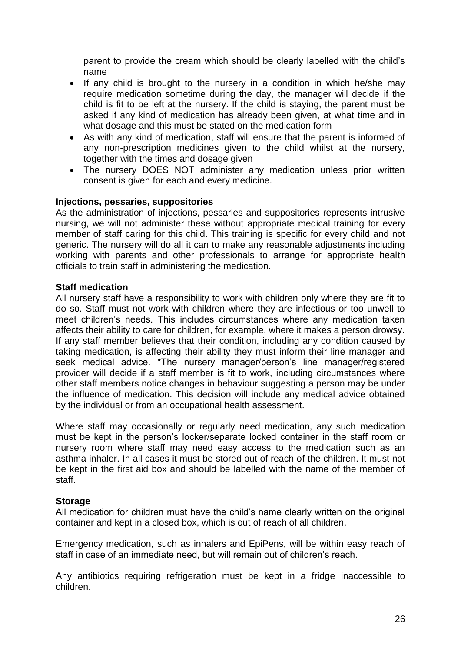parent to provide the cream which should be clearly labelled with the child's name

- If any child is brought to the nursery in a condition in which he/she may require medication sometime during the day, the manager will decide if the child is fit to be left at the nursery. If the child is staying, the parent must be asked if any kind of medication has already been given, at what time and in what dosage and this must be stated on the medication form
- As with any kind of medication, staff will ensure that the parent is informed of any non-prescription medicines given to the child whilst at the nursery, together with the times and dosage given
- The nursery DOES NOT administer any medication unless prior written consent is given for each and every medicine.

## **Injections, pessaries, suppositories**

As the administration of injections, pessaries and suppositories represents intrusive nursing, we will not administer these without appropriate medical training for every member of staff caring for this child. This training is specific for every child and not generic. The nursery will do all it can to make any reasonable adjustments including working with parents and other professionals to arrange for appropriate health officials to train staff in administering the medication.

### **Staff medication**

All nursery staff have a responsibility to work with children only where they are fit to do so. Staff must not work with children where they are infectious or too unwell to meet children's needs. This includes circumstances where any medication taken affects their ability to care for children, for example, where it makes a person drowsy. If any staff member believes that their condition, including any condition caused by taking medication, is affecting their ability they must inform their line manager and seek medical advice. \*The nursery manager/person's line manager/registered provider will decide if a staff member is fit to work, including circumstances where other staff members notice changes in behaviour suggesting a person may be under the influence of medication. This decision will include any medical advice obtained by the individual or from an occupational health assessment.

Where staff may occasionally or regularly need medication, any such medication must be kept in the person's locker/separate locked container in the staff room or nursery room where staff may need easy access to the medication such as an asthma inhaler. In all cases it must be stored out of reach of the children. It must not be kept in the first aid box and should be labelled with the name of the member of staff.

### **Storage**

All medication for children must have the child's name clearly written on the original container and kept in a closed box, which is out of reach of all children.

Emergency medication, such as inhalers and EpiPens, will be within easy reach of staff in case of an immediate need, but will remain out of children's reach.

Any antibiotics requiring refrigeration must be kept in a fridge inaccessible to children.